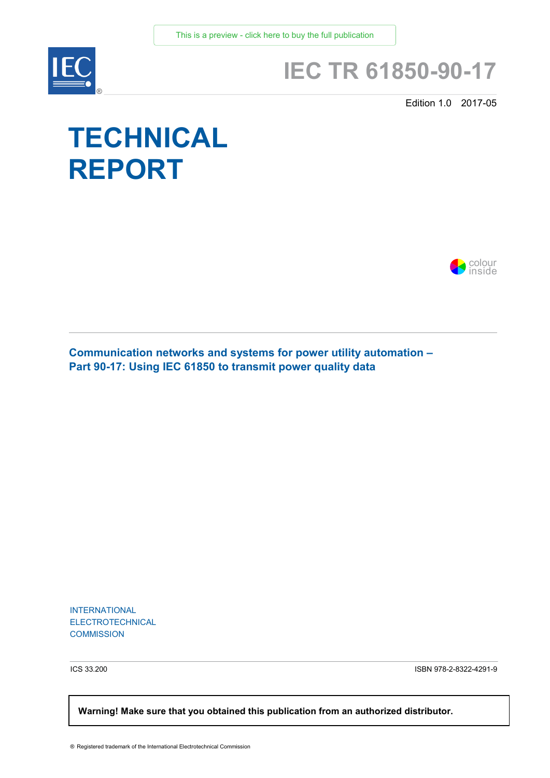

# **IEC TR 61850-90-17**

Edition 1.0 2017-05

# **TECHNICAL REPORT**



**Communication networks and systems for power utility automation – Part 90-17: Using IEC 61850 to transmit power quality data**

INTERNATIONAL ELECTROTECHNICAL **COMMISSION** 

ICS 33.200 ISBN 978-2-8322-4291-9

 **Warning! Make sure that you obtained this publication from an authorized distributor.**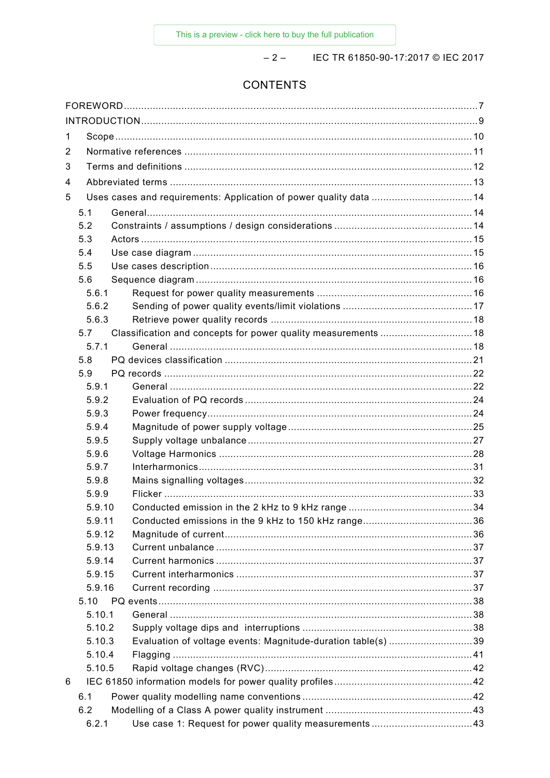-2- IEC TR 61850-90-17:2017 © IEC 2017

# **CONTENTS**

| 1 |        |                                                                |  |
|---|--------|----------------------------------------------------------------|--|
| 2 |        |                                                                |  |
| 3 |        |                                                                |  |
| 4 |        |                                                                |  |
| 5 |        |                                                                |  |
|   | 5.1    |                                                                |  |
|   | 5.2    |                                                                |  |
|   | 5.3    |                                                                |  |
|   | 5.4    |                                                                |  |
|   | 5.5    |                                                                |  |
|   | 5.6    |                                                                |  |
|   | 5.6.1  |                                                                |  |
|   | 5.6.2  |                                                                |  |
|   | 5.6.3  |                                                                |  |
|   | 5.7    | Classification and concepts for power quality measurements  18 |  |
|   | 5.7.1  |                                                                |  |
|   | 5.8    |                                                                |  |
|   | 5.9    |                                                                |  |
|   | 5.9.1  |                                                                |  |
|   | 5.9.2  |                                                                |  |
|   | 5.9.3  |                                                                |  |
|   | 5.9.4  |                                                                |  |
|   | 5.9.5  |                                                                |  |
|   | 5.9.6  |                                                                |  |
|   | 5.9.7  |                                                                |  |
|   | 5.9.8  |                                                                |  |
|   | 5.9.9  |                                                                |  |
|   | 5.9.10 |                                                                |  |
|   | 5.9.11 |                                                                |  |
|   | 5.9.12 |                                                                |  |
|   | 5.9.13 |                                                                |  |
|   | 5.9.14 |                                                                |  |
|   | 5.9.15 |                                                                |  |
|   | 5.9.16 |                                                                |  |
|   | 5.10   |                                                                |  |
|   | 5.10.1 |                                                                |  |
|   | 5.10.2 |                                                                |  |
|   | 5.10.3 | Evaluation of voltage events: Magnitude-duration table(s) 39   |  |
|   | 5.10.4 |                                                                |  |
|   | 5.10.5 |                                                                |  |
| 6 |        |                                                                |  |
|   | 6.1    |                                                                |  |
|   | 6.2    |                                                                |  |
|   | 6.2.1  | Use case 1: Request for power quality measurements43           |  |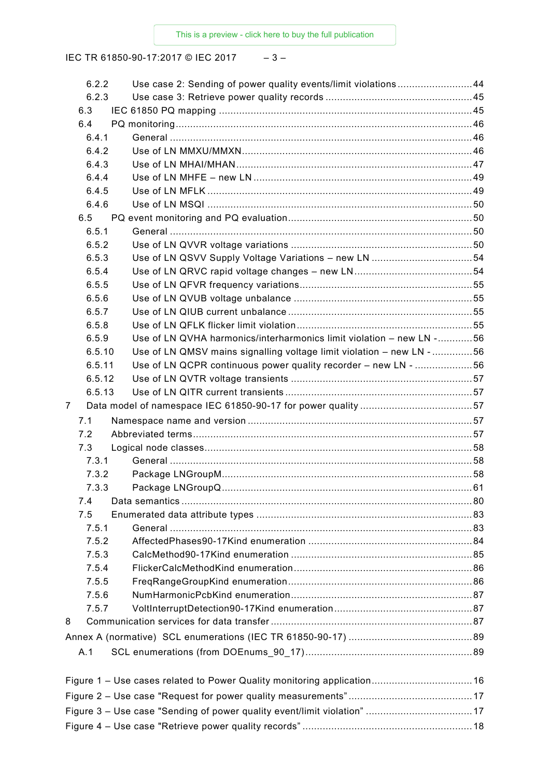IEC TR 61850-90-17:2017 © IEC 2017 – 3 –

| 6.2.2                                                                   | Use case 2: Sending of power quality events/limit violations44        |  |  |  |  |
|-------------------------------------------------------------------------|-----------------------------------------------------------------------|--|--|--|--|
| 6.2.3                                                                   |                                                                       |  |  |  |  |
| 6.3                                                                     |                                                                       |  |  |  |  |
| 6.4                                                                     |                                                                       |  |  |  |  |
| 6.4.1                                                                   |                                                                       |  |  |  |  |
| 6.4.2                                                                   |                                                                       |  |  |  |  |
| 6.4.3                                                                   |                                                                       |  |  |  |  |
| 6.4.4                                                                   |                                                                       |  |  |  |  |
| 6.4.5                                                                   |                                                                       |  |  |  |  |
| 6.4.6                                                                   |                                                                       |  |  |  |  |
| 6.5                                                                     |                                                                       |  |  |  |  |
| 6.5.1                                                                   |                                                                       |  |  |  |  |
| 6.5.2                                                                   |                                                                       |  |  |  |  |
| 6.5.3                                                                   |                                                                       |  |  |  |  |
| 6.5.4                                                                   |                                                                       |  |  |  |  |
| 6.5.5                                                                   |                                                                       |  |  |  |  |
| 6.5.6                                                                   |                                                                       |  |  |  |  |
| 6.5.7                                                                   |                                                                       |  |  |  |  |
| 6.5.8                                                                   |                                                                       |  |  |  |  |
| 6.5.9                                                                   | Use of LN QVHA harmonics/interharmonics limit violation - new LN -56  |  |  |  |  |
| 6.5.10                                                                  | Use of LN QMSV mains signalling voltage limit violation - new LN - 56 |  |  |  |  |
| 6.5.11                                                                  | Use of LN QCPR continuous power quality recorder - new LN - 56        |  |  |  |  |
| 6.5.12                                                                  |                                                                       |  |  |  |  |
| 6.5.13                                                                  |                                                                       |  |  |  |  |
| 7                                                                       |                                                                       |  |  |  |  |
| 7.1                                                                     |                                                                       |  |  |  |  |
| 7.2                                                                     |                                                                       |  |  |  |  |
| 7.3                                                                     |                                                                       |  |  |  |  |
| 7.3.1                                                                   |                                                                       |  |  |  |  |
| 7.3.2                                                                   |                                                                       |  |  |  |  |
| 7.3.3                                                                   |                                                                       |  |  |  |  |
| 7.4                                                                     |                                                                       |  |  |  |  |
| 7.5                                                                     |                                                                       |  |  |  |  |
| 7.5.1                                                                   |                                                                       |  |  |  |  |
| 7.5.2                                                                   |                                                                       |  |  |  |  |
| 7.5.3                                                                   |                                                                       |  |  |  |  |
| 7.5.4                                                                   |                                                                       |  |  |  |  |
| 7.5.5                                                                   |                                                                       |  |  |  |  |
| 7.5.6                                                                   |                                                                       |  |  |  |  |
| 7.5.7                                                                   |                                                                       |  |  |  |  |
| 8                                                                       |                                                                       |  |  |  |  |
|                                                                         |                                                                       |  |  |  |  |
| A.1                                                                     |                                                                       |  |  |  |  |
|                                                                         |                                                                       |  |  |  |  |
| Figure 1 - Use cases related to Power Quality monitoring application 16 |                                                                       |  |  |  |  |
|                                                                         |                                                                       |  |  |  |  |
|                                                                         |                                                                       |  |  |  |  |
|                                                                         |                                                                       |  |  |  |  |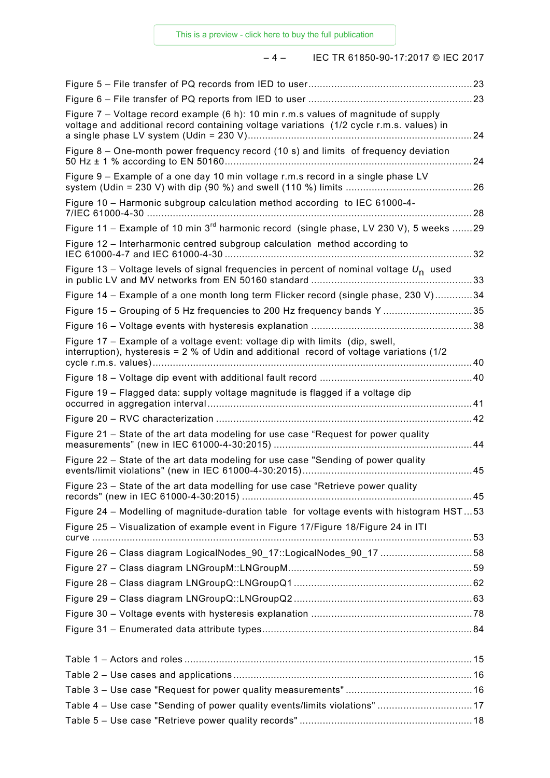# – 4 – IEC TR 61850-90-17:2017 © IEC 2017

| Figure 7 – Voltage record example (6 h): 10 min r.m.s values of magnitude of supply<br>voltage and additional record containing voltage variations (1/2 cycle r.m.s. values) in | 24   |
|---------------------------------------------------------------------------------------------------------------------------------------------------------------------------------|------|
| Figure 8 – One-month power frequency record (10 s) and limits of frequency deviation                                                                                            | 24   |
| Figure 9 – Example of a one day 10 min voltage r.m.s record in a single phase LV                                                                                                | 26   |
| Figure 10 - Harmonic subgroup calculation method according to IEC 61000-4-                                                                                                      | . 28 |
| Figure 11 – Example of 10 min $3^{rd}$ harmonic record (single phase, LV 230 V), 5 weeks 29                                                                                     |      |
| Figure 12 – Interharmonic centred subgroup calculation method according to                                                                                                      | 32   |
| Figure 13 – Voltage levels of signal frequencies in percent of nominal voltage $U_n$ used                                                                                       |      |
| Figure 14 - Example of a one month long term Flicker record (single phase, 230 V)34                                                                                             |      |
| Figure 15 – Grouping of 5 Hz frequencies to 200 Hz frequency bands Y 35                                                                                                         |      |
|                                                                                                                                                                                 |      |
| Figure 17 - Example of a voltage event: voltage dip with limits (dip, swell,<br>interruption), hysteresis = 2 % of Udin and additional record of voltage variations (1/2        |      |
|                                                                                                                                                                                 |      |
| Figure 19 - Flagged data: supply voltage magnitude is flagged if a voltage dip                                                                                                  |      |
|                                                                                                                                                                                 |      |
| Figure 21 – State of the art data modeling for use case "Request for power quality                                                                                              |      |
| Figure 22 – State of the art data modeling for use case "Sending of power quality                                                                                               |      |
| Figure 23 – State of the art data modelling for use case "Retrieve power quality                                                                                                |      |
| Figure 24 - Modelling of magnitude-duration table for voltage events with histogram HST53                                                                                       |      |
| Figure 25 - Visualization of example event in Figure 17/Figure 18/Figure 24 in ITI                                                                                              |      |
| Figure 26 - Class diagram LogicalNodes_90_17::LogicalNodes_90_17 58                                                                                                             |      |
|                                                                                                                                                                                 |      |
|                                                                                                                                                                                 |      |
|                                                                                                                                                                                 |      |
|                                                                                                                                                                                 |      |
|                                                                                                                                                                                 |      |
|                                                                                                                                                                                 |      |
|                                                                                                                                                                                 |      |
|                                                                                                                                                                                 |      |
| Table 4 - Use case "Sending of power quality events/limits violations"  17                                                                                                      |      |
|                                                                                                                                                                                 |      |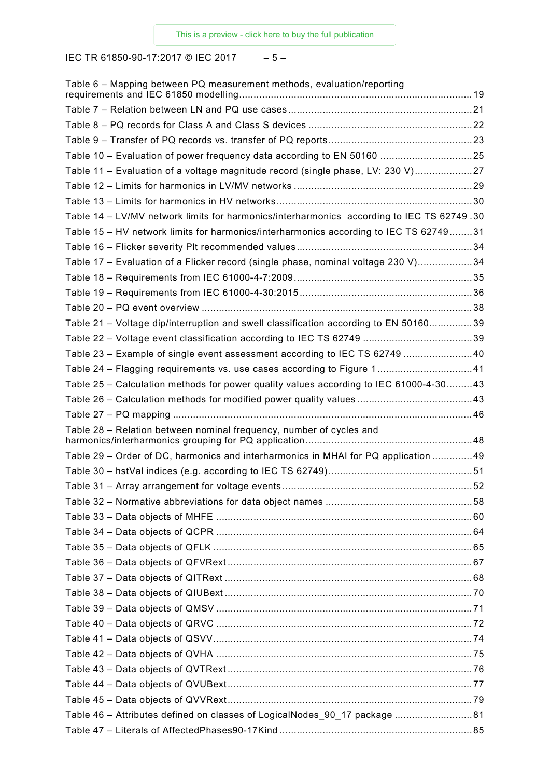IEC TR 61850-90-17:2017 © IEC 2017 – 5 –

| Table 6 - Mapping between PQ measurement methods, evaluation/reporting                    |  |
|-------------------------------------------------------------------------------------------|--|
|                                                                                           |  |
|                                                                                           |  |
|                                                                                           |  |
| Table 10 - Evaluation of power frequency data according to EN 50160 25                    |  |
| Table 11 - Evaluation of a voltage magnitude record (single phase, LV: 230 V)27           |  |
|                                                                                           |  |
|                                                                                           |  |
| Table 14 - LV/MV network limits for harmonics/interharmonics according to IEC TS 62749.30 |  |
| Table 15 - HV network limits for harmonics/interharmonics according to IEC TS 6274931     |  |
|                                                                                           |  |
| Table 17 - Evaluation of a Flicker record (single phase, nominal voltage 230 V)34         |  |
|                                                                                           |  |
|                                                                                           |  |
|                                                                                           |  |
| Table 21 - Voltage dip/interruption and swell classification according to EN 5016039      |  |
|                                                                                           |  |
| Table 23 - Example of single event assessment according to IEC TS 62749 40                |  |
| Table 24 - Flagging requirements vs. use cases according to Figure 141                    |  |
| Table 25 - Calculation methods for power quality values according to IEC 61000-4-3043     |  |
|                                                                                           |  |
|                                                                                           |  |
| Table 28 - Relation between nominal frequency, number of cycles and                       |  |
| Table 29 - Order of DC, harmonics and interharmonics in MHAI for PQ application 49        |  |
|                                                                                           |  |
|                                                                                           |  |
|                                                                                           |  |
|                                                                                           |  |
|                                                                                           |  |
|                                                                                           |  |
|                                                                                           |  |
|                                                                                           |  |
|                                                                                           |  |
|                                                                                           |  |
|                                                                                           |  |
|                                                                                           |  |
|                                                                                           |  |
|                                                                                           |  |
|                                                                                           |  |
|                                                                                           |  |
| Table 46 - Attributes defined on classes of LogicalNodes_90_17 package 81                 |  |
|                                                                                           |  |
|                                                                                           |  |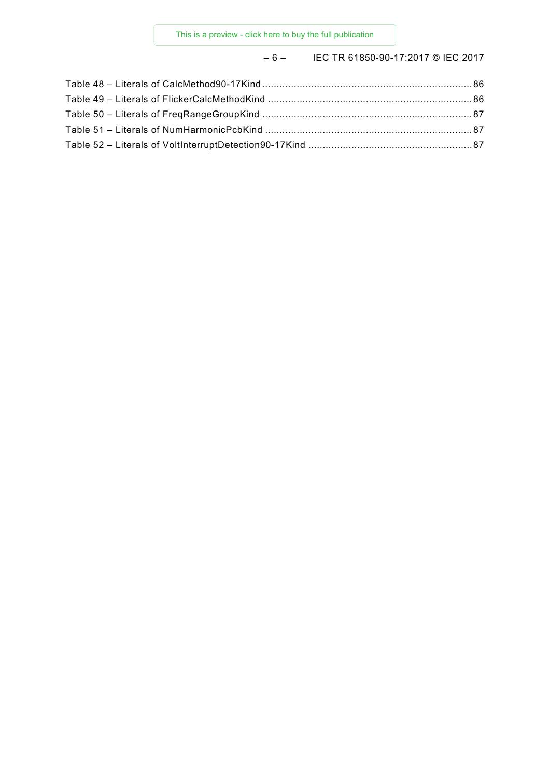# – 6 – IEC TR 61850-90-17:2017 © IEC 2017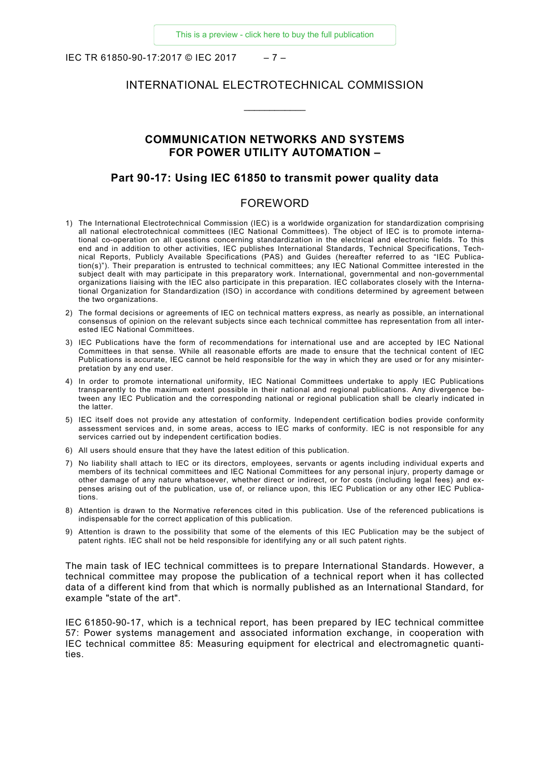IEC TR 61850-90-17:2017 © IEC 2017 – 7 –

#### INTERNATIONAL ELECTROTECHNICAL COMMISSION

\_\_\_\_\_\_\_\_\_\_\_\_

#### **COMMUNICATION NETWORKS AND SYSTEMS FOR POWER UTILITY AUTOMATION –**

#### **Part 90-17: Using IEC 61850 to transmit power quality data**

#### FOREWORD

- <span id="page-6-0"></span>1) The International Electrotechnical Commission (IEC) is a worldwide organization for standardization comprising all national electrotechnical committees (IEC National Committees). The object of IEC is to promote international co-operation on all questions concerning standardization in the electrical and electronic fields. To this end and in addition to other activities, IEC publishes International Standards, Technical Specifications, Technical Reports, Publicly Available Specifications (PAS) and Guides (hereafter referred to as "IEC Publication(s)"). Their preparation is entrusted to technical committees; any IEC National Committee interested in the subject dealt with may participate in this preparatory work. International, governmental and non-governmental organizations liaising with the IEC also participate in this preparation. IEC collaborates closely with the International Organization for Standardization (ISO) in accordance with conditions determined by agreement between the two organizations.
- 2) The formal decisions or agreements of IEC on technical matters express, as nearly as possible, an international consensus of opinion on the relevant subjects since each technical committee has representation from all interested IEC National Committees.
- 3) IEC Publications have the form of recommendations for international use and are accepted by IEC National Committees in that sense. While all reasonable efforts are made to ensure that the technical content of IEC Publications is accurate, IEC cannot be held responsible for the way in which they are used or for any misinterpretation by any end user.
- 4) In order to promote international uniformity, IEC National Committees undertake to apply IEC Publications transparently to the maximum extent possible in their national and regional publications. Any divergence between any IEC Publication and the corresponding national or regional publication shall be clearly indicated in the latter.
- 5) IEC itself does not provide any attestation of conformity. Independent certification bodies provide conformity assessment services and, in some areas, access to IEC marks of conformity. IEC is not responsible for any services carried out by independent certification bodies.
- 6) All users should ensure that they have the latest edition of this publication.
- 7) No liability shall attach to IEC or its directors, employees, servants or agents including individual experts and members of its technical committees and IEC National Committees for any personal injury, property damage or other damage of any nature whatsoever, whether direct or indirect, or for costs (including legal fees) and expenses arising out of the publication, use of, or reliance upon, this IEC Publication or any other IEC Publications.
- 8) Attention is drawn to the Normative references cited in this publication. Use of the referenced publications is indispensable for the correct application of this publication.
- 9) Attention is drawn to the possibility that some of the elements of this IEC Publication may be the subject of patent rights. IEC shall not be held responsible for identifying any or all such patent rights.

The main task of IEC technical committees is to prepare International Standards. However, a technical committee may propose the publication of a technical report when it has collected data of a different kind from that which is normally published as an International Standard, for example "state of the art".

IEC 61850-90-17, which is a technical report, has been prepared by IEC technical committee 57: Power systems management and associated information exchange, in cooperation with IEC technical committee 85: Measuring equipment for electrical and electromagnetic quantities.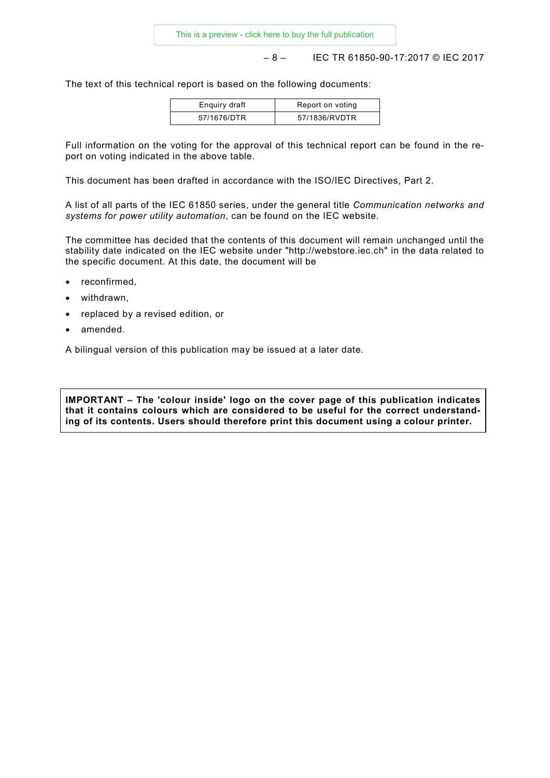– 8 – IEC TR 61850-90-17:2017 © IEC 2017

The text of this technical report is based on the following documents:

| Enquiry draft | Report on voting |
|---------------|------------------|
| 57/1676/DTR   | 57/1836/RVDTR    |

Full information on the voting for the approval of this technical report can be found in the report on voting indicated in the above table.

This document has been drafted in accordance with the ISO/IEC Directives, Part 2.

A list of all parts of the IEC 61850 series, under the general title *Communication networks and systems for power utility automation*, can be found on the IEC website.

The committee has decided that the contents of this document will remain unchanged until the stability date indicated on the IEC website under "http://webstore.iec.ch" in the data related to the specific document. At this date, the document will be

- reconfirmed,
- withdrawn,
- replaced by a revised edition, or
- amended.

A bilingual version of this publication may be issued at a later date.

**IMPORTANT – The 'colour inside' logo on the cover page of this publication indicates that it contains colours which are considered to be useful for the correct understanding of its contents. Users should therefore print this document using a colour printer.**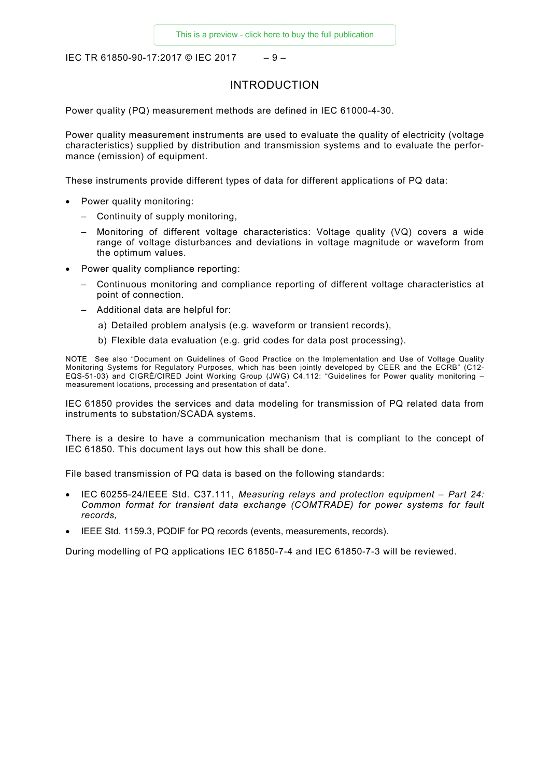<span id="page-8-0"></span>IEC TR 61850-90-17:2017 © IEC 2017 – 9 –

## INTRODUCTION

Power quality (PQ) measurement methods are defined in IEC 61000-4-30.

Power quality measurement instruments are used to evaluate the quality of electricity (voltage characteristics) supplied by distribution and transmission systems and to evaluate the performance (emission) of equipment.

These instruments provide different types of data for different applications of PQ data:

- Power quality monitoring:
	- Continuity of supply monitoring,
	- Monitoring of different voltage characteristics: Voltage quality (VQ) covers a wide range of voltage disturbances and deviations in voltage magnitude or waveform from the optimum values.
- Power quality compliance reporting:
	- Continuous monitoring and compliance reporting of different voltage characteristics at point of connection.
	- Additional data are helpful for:
		- a) Detailed problem analysis (e.g. waveform or transient records),
		- b) Flexible data evaluation (e.g. grid codes for data post processing).

NOTE See also "Document on Guidelines of Good Practice on the Implementation and Use of Voltage Quality Monitoring Systems for Regulatory Purposes, which has been jointly developed by CEER and the ECRB" (C12-EQS-51-03) and CIGRÉ/CIRED Joint Working Group (JWG) C4.112: "Guidelines for Power quality monitoring – measurement locations, processing and presentation of data".

IEC 61850 provides the services and data modeling for transmission of PQ related data from instruments to substation/SCADA systems.

There is a desire to have a communication mechanism that is compliant to the concept of IEC 61850. This document lays out how this shall be done.

File based transmission of PQ data is based on the following standards:

- IEC 60255-24/IEEE Std. C37.111, *Measuring relays and protection equipment Part 24: Common format for transient data exchange (COMTRADE) for power systems for fault records,*
- IEEE Std. 1159.3, PQDIF for PQ records (events, measurements, records).

During modelling of PQ applications IEC 61850-7-4 and IEC 61850-7-3 will be reviewed.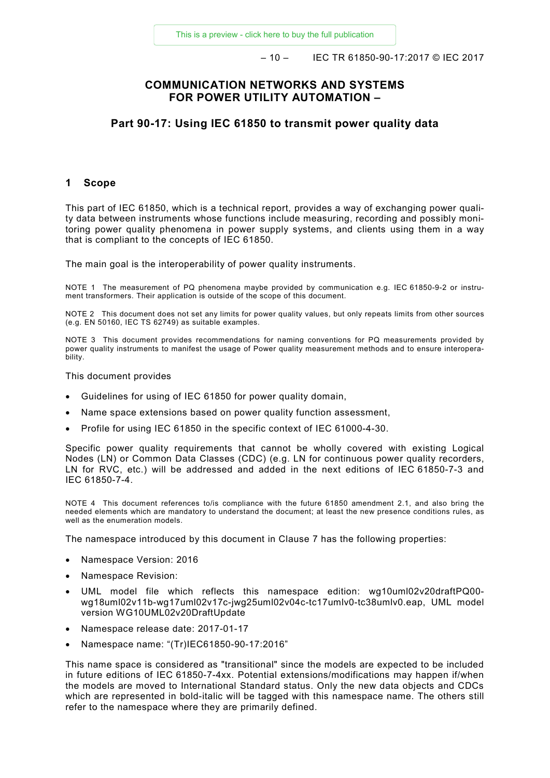– 10 – IEC TR 61850-90-17:2017 © IEC 2017

# **COMMUNICATION NETWORKS AND SYSTEMS FOR POWER UTILITY AUTOMATION –**

## **Part 90-17: Using IEC 61850 to transmit power quality data**

#### <span id="page-9-0"></span>**1 Scope**

This part of IEC 61850, which is a technical report, provides a way of exchanging power quality data between instruments whose functions include measuring, recording and possibly monitoring power quality phenomena in power supply systems, and clients using them in a way that is compliant to the concepts of IEC 61850.

The main goal is the interoperability of power quality instruments.

NOTE 1 The measurement of PQ phenomena maybe provided by communication e.g. IEC 61850-9-2 or instrument transformers. Their application is outside of the scope of this document.

NOTE 2 This document does not set any limits for power quality values, but only repeats limits from other sources (e.g. EN 50160, IEC TS 62749) as suitable examples.

NOTE 3 This document provides recommendations for naming conventions for PQ measurements provided by power quality instruments to manifest the usage of Power quality measurement methods and to ensure interoperability.

This document provides

- Guidelines for using of IEC 61850 for power quality domain,
- Name space extensions based on power quality function assessment,
- Profile for using IEC 61850 in the specific context of IEC 61000-4-30.

Specific power quality requirements that cannot be wholly covered with existing Logical Nodes (LN) or Common Data Classes (CDC) (e.g. LN for continuous power quality recorders, LN for RVC, etc.) will be addressed and added in the next editions of IEC 61850-7-3 and IEC 61850-7-4.

NOTE 4 This document references to/is compliance with the future 61850 amendment 2.1, and also bring the needed elements which are mandatory to understand the document; at least the new presence conditions rules, as well as the enumeration models.

The namespace introduced by this document in Clause 7 has the following properties:

- Namespace Version: 2016
- Namespace Revision:
- UML model file which reflects this namespace edition: wg10uml02v20draftPQ00 wg18uml02v11b-wg17uml02v17c-jwg25uml02v04c-tc17umlv0-tc38umlv0.eap, UML model version WG10UML02v20DraftUpdate
- Namespace release date: 2017-01-17
- Namespace name: "(Tr)IEC61850-90-17:2016"

This name space is considered as "transitional" since the models are expected to be included in future editions of IEC 61850-7-4xx. Potential extensions/modifications may happen if/when the models are moved to International Standard status. Only the new data objects and CDCs which are represented in bold-italic will be tagged with this namespace name. The others still refer to the namespace where they are primarily defined.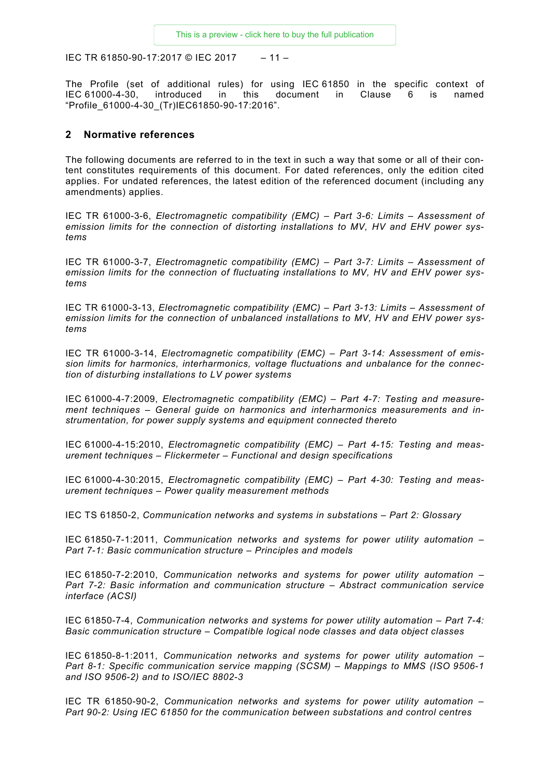IEC TR 61850-90-17:2017 © IEC 2017 – 11 –

The Profile (set of additional rules) for using IEC 61850 in the specific context of introduced in this document in Clause 6 is named "Profile\_61000-4-30\_(Tr)IEC61850-90-17:2016".

#### <span id="page-10-0"></span>**2 Normative references**

The following documents are referred to in the text in such a way that some or all of their content constitutes requirements of this document. For dated references, only the edition cited applies. For undated references, the latest edition of the referenced document (including any amendments) applies.

IEC TR 61000-3-6, *Electromagnetic compatibility (EMC) – Part 3-6: Limits – Assessment of emission limits for the connection of distorting installations to MV, HV and EHV power systems*

IEC TR 61000-3-7, *Electromagnetic compatibility (EMC) – Part 3-7: Limits – Assessment of emission limits for the connection of fluctuating installations to MV, HV and EHV power systems*

IEC TR 61000-3-13, *Electromagnetic compatibility (EMC) – Part 3-13: Limits – Assessment of emission limits for the connection of unbalanced installations to MV, HV and EHV power systems*

IEC TR 61000-3-14, *Electromagnetic compatibility (EMC) – Part 3-14: Assessment of emission limits for harmonics, interharmonics, voltage fluctuations and unbalance for the connection of disturbing installations to LV power systems*

IEC 61000-4-7:2009, *Electromagnetic compatibility (EMC) – Part 4-7: Testing and measurement techniques – General guide on harmonics and interharmonics measurements and instrumentation, for power supply systems and equipment connected thereto*

IEC 61000-4-15:2010, *Electromagnetic compatibility (EMC) – Part 4-15: Testing and measurement techniques – Flickermeter – Functional and design specifications*

IEC 61000-4-30:2015, *Electromagnetic compatibility (EMC) – Part 4-30: Testing and measurement techniques – Power quality measurement methods*

IEC TS 61850-2, *Communication networks and systems in substations – Part 2: Glossary*

IEC 61850-7-1:2011, *Communication networks and systems for power utility automation – Part 7-1: Basic communication structure – Principles and models*

IEC 61850-7-2:2010, *Communication networks and systems for power utility automation – Part 7-2: Basic information and communication structure – Abstract communication service interface (ACSI)*

IEC 61850-7-4, *Communication networks and systems for power utility automation – Part 7-4: Basic communication structure – Compatible logical node classes and data object classes*

IEC 61850-8-1:2011, *Communication networks and systems for power utility automation – Part 8-1: Specific communication service mapping (SCSM) – Mappings to MMS (ISO 9506-1 and ISO 9506-2) and to ISO/IEC 8802-3* 

IEC TR 61850-90-2, *Communication networks and systems for power utility automation – Part 90-2: Using IEC 61850 for the communication between substations and control centres*